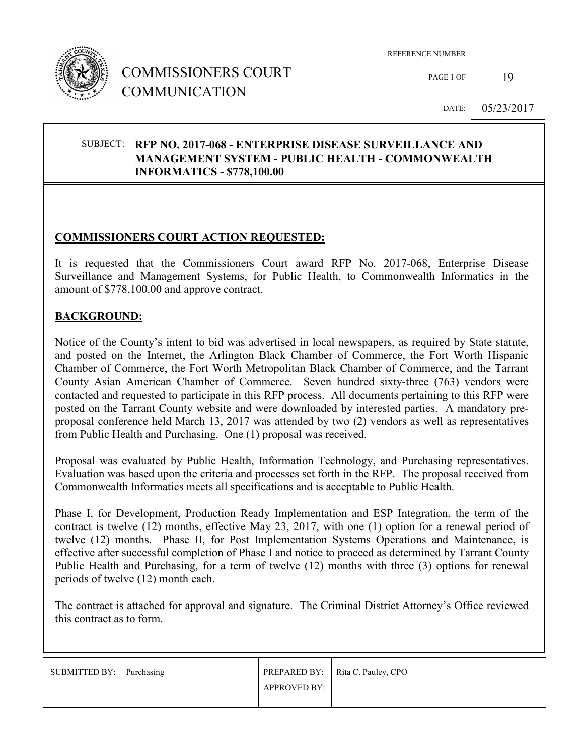

## COMMISSIONERS COURT COMMUNICATION

REFERENCE NUMBER

PAGE 1 OF 19

DATE: 05/23/2017

#### SUBJECT: **RFP NO. 2017-068 - ENTERPRISE DISEASE SURVEILLANCE AND MANAGEMENT SYSTEM - PUBLIC HEALTH - COMMONWEALTH INFORMATICS - \$778,100.00**

### **COMMISSIONERS COURT ACTION REQUESTED:**

It is requested that the Commissioners Court award RFP No. 2017-068, Enterprise Disease Surveillance and Management Systems, for Public Health, to Commonwealth Informatics in the amount of \$778,100.00 and approve contract.

#### **BACKGROUND:**

Notice of the County's intent to bid was advertised in local newspapers, as required by State statute, and posted on the Internet, the Arlington Black Chamber of Commerce, the Fort Worth Hispanic Chamber of Commerce, the Fort Worth Metropolitan Black Chamber of Commerce, and the Tarrant County Asian American Chamber of Commerce. Seven hundred sixty-three (763) vendors were contacted and requested to participate in this RFP process. All documents pertaining to this RFP were posted on the Tarrant County website and were downloaded by interested parties. A mandatory preproposal conference held March 13, 2017 was attended by two (2) vendors as well as representatives from Public Health and Purchasing. One (1) proposal was received.

Proposal was evaluated by Public Health, Information Technology, and Purchasing representatives. Evaluation was based upon the criteria and processes set forth in the RFP. The proposal received from Commonwealth Informatics meets all specifications and is acceptable to Public Health.

Phase I, for Development, Production Ready Implementation and ESP Integration, the term of the contract is twelve (12) months, effective May 23, 2017, with one (1) option for a renewal period of twelve (12) months. Phase II, for Post Implementation Systems Operations and Maintenance, is effective after successful completion of Phase I and notice to proceed as determined by Tarrant County Public Health and Purchasing, for a term of twelve (12) months with three (3) options for renewal periods of twelve (12) month each.

The contract is attached for approval and signature. The Criminal District Attorney's Office reviewed this contract as to form.

| SUBMITTED BY: Purchasing |                     | PREPARED BY:   Rita C. Pauley, CPO |
|--------------------------|---------------------|------------------------------------|
|                          | <b>APPROVED BY:</b> |                                    |